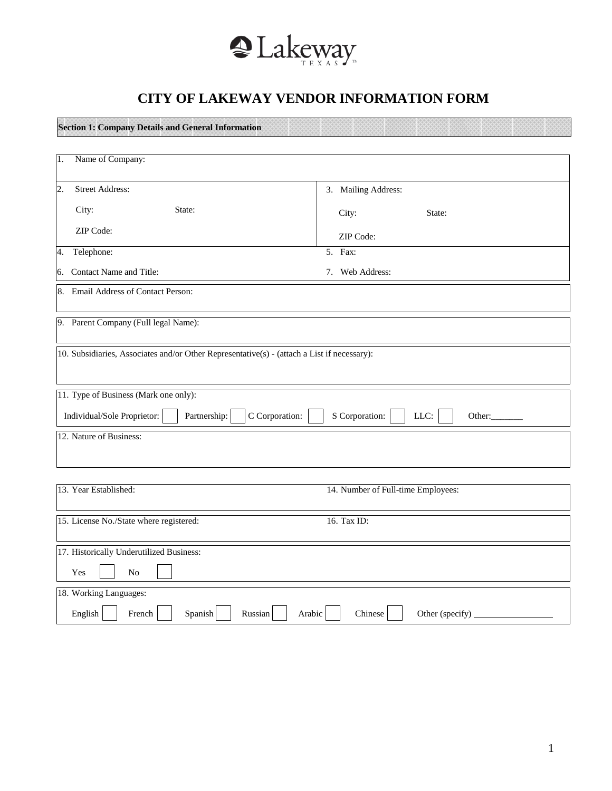

## **CITY OF LAKEWAY VENDOR INFORMATION FORM**

**Section 1: Company Details and General Information**

| Name of Company:<br>Π.                                                                                 |                                    |
|--------------------------------------------------------------------------------------------------------|------------------------------------|
| $\overline{2}$ .<br><b>Street Address:</b>                                                             | 3. Mailing Address:                |
| City:<br>State:                                                                                        | City:<br>State:                    |
| ZIP Code:                                                                                              | ZIP Code:                          |
| Telephone:<br>4.                                                                                       | 5. Fax:                            |
| 6. Contact Name and Title:                                                                             | 7. Web Address:                    |
| 8. Email Address of Contact Person:                                                                    |                                    |
| 9. Parent Company (Full legal Name):                                                                   |                                    |
| 10. Subsidiaries, Associates and/or Other Representative(s) - (attach a List if necessary):            |                                    |
| 11. Type of Business (Mark one only):<br>C Corporation:<br>Individual/Sole Proprietor:<br>Partnership: | S Corporation:<br>LLC:<br>Other:   |
| 12. Nature of Business:                                                                                |                                    |
| 13. Year Established:                                                                                  | 14. Number of Full-time Employees: |
| 15. License No./State where registered:                                                                | 16. Tax ID:                        |
| 17. Historically Underutilized Business:<br>Yes<br>N <sub>o</sub>                                      |                                    |
| 18. Working Languages:                                                                                 |                                    |
| English<br>French<br>Spanish<br>Russian<br>Arabic                                                      | Chinese<br>Other (specify)         |